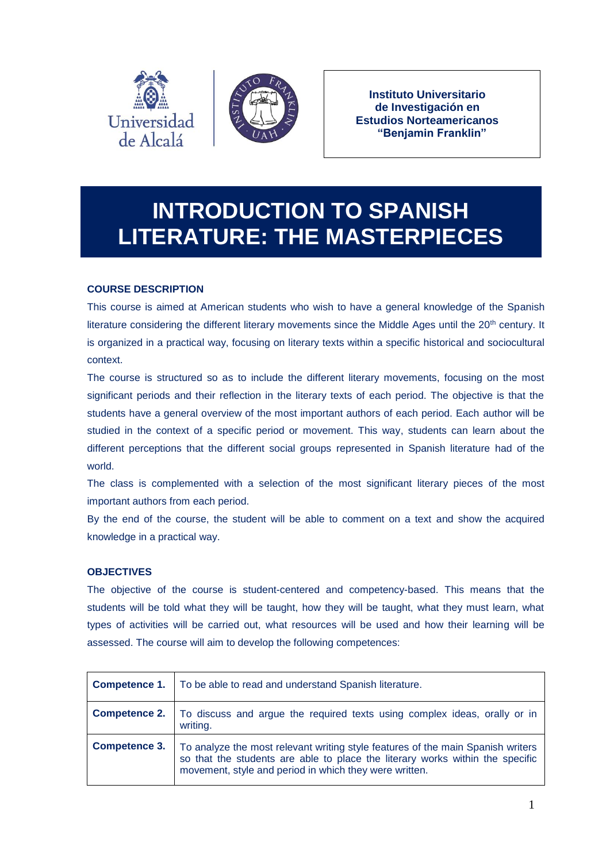

**Instituto Universitario de Investigación en Estudios Norteamericanos "Benjamin Franklin"**

# **INTRODUCTION TO SPANISH LITERATURE: THE MASTERPIECES**

# **COURSE DESCRIPTION**

This course is aimed at American students who wish to have a general knowledge of the Spanish literature considering the different literary movements since the Middle Ages until the  $20<sup>th</sup>$  century. It is organized in a practical way, focusing on literary texts within a specific historical and sociocultural context.

The course is structured so as to include the different literary movements, focusing on the most significant periods and their reflection in the literary texts of each period. The objective is that the students have a general overview of the most important authors of each period. Each author will be studied in the context of a specific period or movement. This way, students can learn about the different perceptions that the different social groups represented in Spanish literature had of the world.

The class is complemented with a selection of the most significant literary pieces of the most important authors from each period.

By the end of the course, the student will be able to comment on a text and show the acquired knowledge in a practical way.

# **OBJECTIVES**

The objective of the course is student-centered and competency-based. This means that the students will be told what they will be taught, how they will be taught, what they must learn, what types of activities will be carried out, what resources will be used and how their learning will be assessed. The course will aim to develop the following competences:

| <b>Competence 1.</b> | To be able to read and understand Spanish literature.                                                                                                                                                                      |
|----------------------|----------------------------------------------------------------------------------------------------------------------------------------------------------------------------------------------------------------------------|
| <b>Competence 2.</b> | To discuss and argue the required texts using complex ideas, orally or in<br>writing.                                                                                                                                      |
| <b>Competence 3.</b> | To analyze the most relevant writing style features of the main Spanish writers<br>so that the students are able to place the literary works within the specific<br>movement, style and period in which they were written. |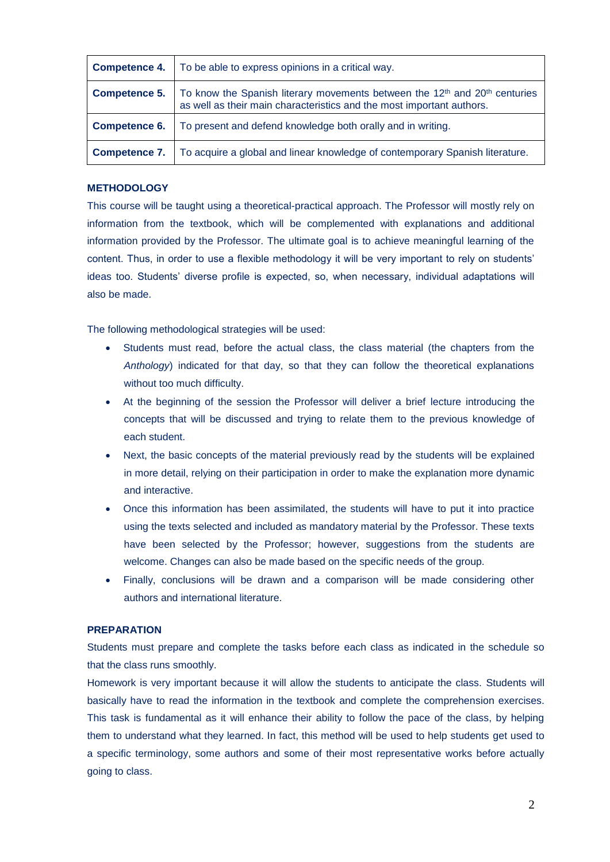| <b>Competence 4.</b> | To be able to express opinions in a critical way.                                                                                                                           |
|----------------------|-----------------------------------------------------------------------------------------------------------------------------------------------------------------------------|
| <b>Competence 5.</b> | To know the Spanish literary movements between the 12 <sup>th</sup> and 20 <sup>th</sup> centuries<br>as well as their main characteristics and the most important authors. |
| <b>Competence 6.</b> | To present and defend knowledge both orally and in writing.                                                                                                                 |
| <b>Competence 7.</b> | To acquire a global and linear knowledge of contemporary Spanish literature.                                                                                                |

#### **METHODOLOGY**

This course will be taught using a theoretical-practical approach. The Professor will mostly rely on information from the textbook, which will be complemented with explanations and additional information provided by the Professor. The ultimate goal is to achieve meaningful learning of the content. Thus, in order to use a flexible methodology it will be very important to rely on students' ideas too. Students' diverse profile is expected, so, when necessary, individual adaptations will also be made.

The following methodological strategies will be used:

- Students must read, before the actual class, the class material (the chapters from the *Anthology*) indicated for that day, so that they can follow the theoretical explanations without too much difficulty.
- At the beginning of the session the Professor will deliver a brief lecture introducing the concepts that will be discussed and trying to relate them to the previous knowledge of each student.
- Next, the basic concepts of the material previously read by the students will be explained in more detail, relying on their participation in order to make the explanation more dynamic and interactive.
- Once this information has been assimilated, the students will have to put it into practice using the texts selected and included as mandatory material by the Professor. These texts have been selected by the Professor; however, suggestions from the students are welcome. Changes can also be made based on the specific needs of the group.
- Finally, conclusions will be drawn and a comparison will be made considering other authors and international literature.

#### **PREPARATION**

Students must prepare and complete the tasks before each class as indicated in the schedule so that the class runs smoothly.

Homework is very important because it will allow the students to anticipate the class. Students will basically have to read the information in the textbook and complete the comprehension exercises. This task is fundamental as it will enhance their ability to follow the pace of the class, by helping them to understand what they learned. In fact, this method will be used to help students get used to a specific terminology, some authors and some of their most representative works before actually going to class.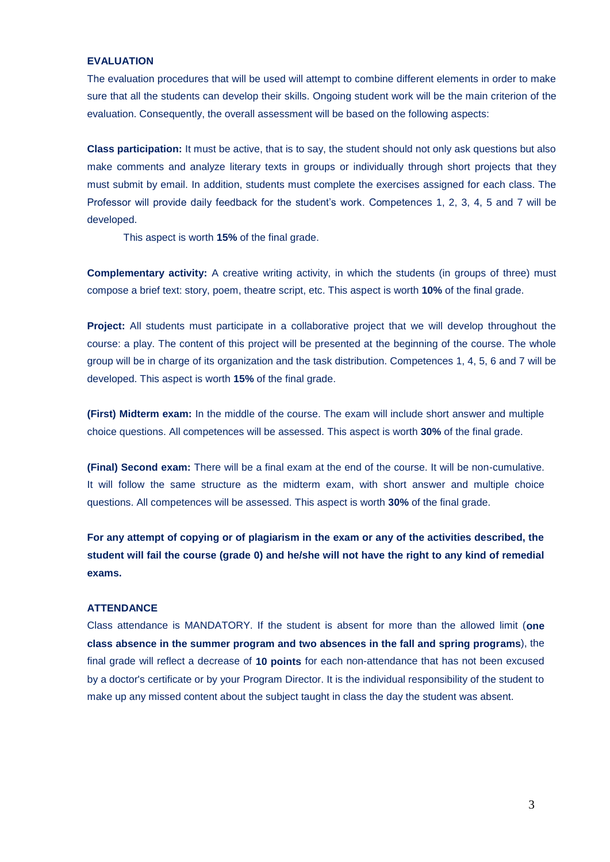#### **EVALUATION**

The evaluation procedures that will be used will attempt to combine different elements in order to make sure that all the students can develop their skills. Ongoing student work will be the main criterion of the evaluation. Consequently, the overall assessment will be based on the following aspects:

**Class participation:** It must be active, that is to say, the student should not only ask questions but also make comments and analyze literary texts in groups or individually through short projects that they must submit by email. In addition, students must complete the exercises assigned for each class. The Professor will provide daily feedback for the student's work. Competences 1, 2, 3, 4, 5 and 7 will be developed.

This aspect is worth **15%** of the final grade.

**Complementary activity:** A creative writing activity, in which the students (in groups of three) must compose a brief text: story, poem, theatre script, etc. This aspect is worth **10%** of the final grade.

**Project:** All students must participate in a collaborative project that we will develop throughout the course: a play. The content of this project will be presented at the beginning of the course. The whole group will be in charge of its organization and the task distribution. Competences 1, 4, 5, 6 and 7 will be developed. This aspect is worth **15%** of the final grade.

**(First) Midterm exam:** In the middle of the course. The exam will include short answer and multiple choice questions. All competences will be assessed. This aspect is worth **30%** of the final grade.

**(Final) Second exam:** There will be a final exam at the end of the course. It will be non-cumulative. It will follow the same structure as the midterm exam, with short answer and multiple choice questions. All competences will be assessed. This aspect is worth **30%** of the final grade.

**For any attempt of copying or of plagiarism in the exam or any of the activities described, the student will fail the course (grade 0) and he/she will not have the right to any kind of remedial exams.**

#### **ATTENDANCE**

Class attendance is MANDATORY. If the student is absent for more than the allowed limit (**one class absence in the summer program and two absences in the fall and spring programs**), the final grade will reflect a decrease of **10 points** for each non-attendance that has not been excused by a doctor's certificate or by your Program Director. It is the individual responsibility of the student to make up any missed content about the subject taught in class the day the student was absent.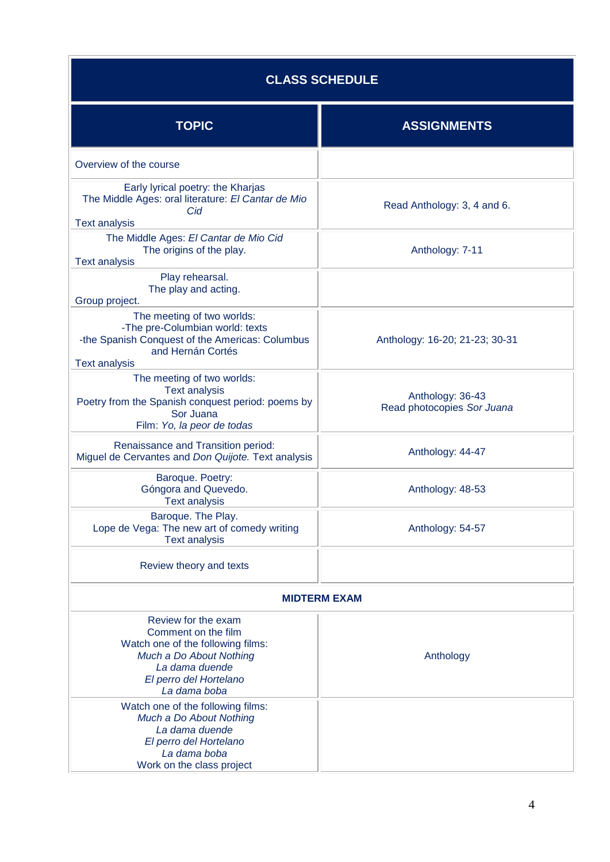| <b>CLASS SCHEDULE</b>                                                                                                                                                  |                                                |  |  |
|------------------------------------------------------------------------------------------------------------------------------------------------------------------------|------------------------------------------------|--|--|
| <b>TOPIC</b>                                                                                                                                                           | <b>ASSIGNMENTS</b>                             |  |  |
| Overview of the course                                                                                                                                                 |                                                |  |  |
| Early lyrical poetry: the Kharjas<br>The Middle Ages: oral literature: El Cantar de Mio<br>Cid                                                                         | Read Anthology: 3, 4 and 6.                    |  |  |
| <b>Text analysis</b><br>The Middle Ages: El Cantar de Mio Cid<br>The origins of the play.<br><b>Text analysis</b>                                                      | Anthology: 7-11                                |  |  |
| Play rehearsal.<br>The play and acting.<br>Group project.                                                                                                              |                                                |  |  |
| The meeting of two worlds:<br>-The pre-Columbian world: texts<br>-the Spanish Conquest of the Americas: Columbus<br>and Hernán Cortés<br><b>Text analysis</b>          | Anthology: 16-20; 21-23; 30-31                 |  |  |
| The meeting of two worlds:<br><b>Text analysis</b><br>Poetry from the Spanish conquest period: poems by<br>Sor Juana<br>Film: Yo, la peor de todas                     | Anthology: 36-43<br>Read photocopies Sor Juana |  |  |
| Renaissance and Transition period:<br>Miguel de Cervantes and Don Quijote. Text analysis                                                                               | Anthology: 44-47                               |  |  |
| Baroque. Poetry:<br>Góngora and Quevedo.<br><b>Text analysis</b>                                                                                                       | Anthology: 48-53                               |  |  |
| Baroque. The Play.<br>Lope de Vega: The new art of comedy writing<br><b>Text analysis</b>                                                                              | Anthology: 54-57                               |  |  |
| Review theory and texts                                                                                                                                                |                                                |  |  |
| <b>MIDTERM EXAM</b>                                                                                                                                                    |                                                |  |  |
| Review for the exam<br>Comment on the film<br>Watch one of the following films:<br>Much a Do About Nothing<br>La dama duende<br>El perro del Hortelano<br>La dama boba | Anthology                                      |  |  |
| Watch one of the following films:<br>Much a Do About Nothing<br>La dama duende<br>El perro del Hortelano<br>La dama boba<br>Work on the class project                  |                                                |  |  |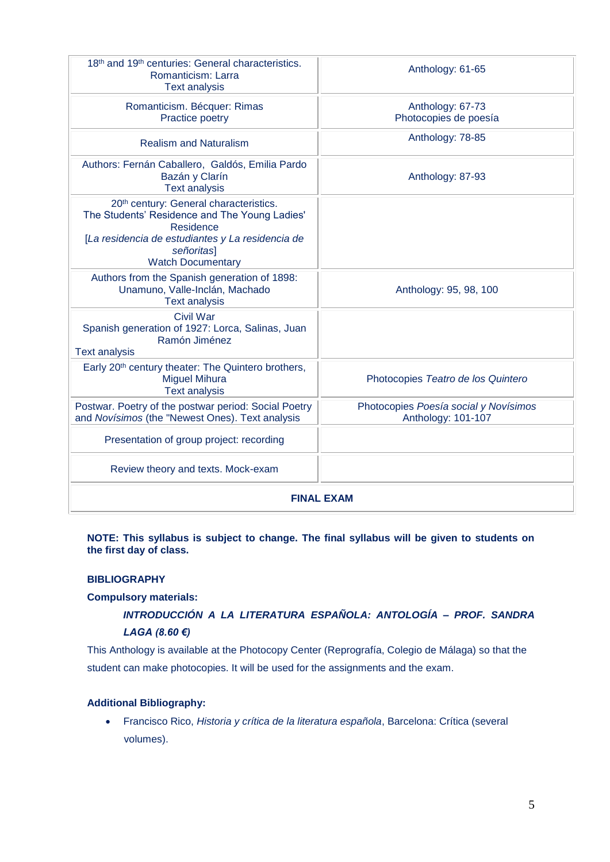| 18th and 19th centuries: General characteristics.<br>Romanticism: Larra<br><b>Text analysis</b>                                                                                                    | Anthology: 61-65                                            |  |  |
|----------------------------------------------------------------------------------------------------------------------------------------------------------------------------------------------------|-------------------------------------------------------------|--|--|
| Romanticism. Bécquer: Rimas<br>Practice poetry                                                                                                                                                     | Anthology: 67-73<br>Photocopies de poesía                   |  |  |
| <b>Realism and Naturalism</b>                                                                                                                                                                      | Anthology: 78-85                                            |  |  |
| Authors: Fernán Caballero, Galdós, Emilia Pardo<br>Bazán y Clarín<br><b>Text analysis</b>                                                                                                          | Anthology: 87-93                                            |  |  |
| 20th century: General characteristics.<br>The Students' Residence and The Young Ladies'<br>Residence<br>[La residencia de estudiantes y La residencia de<br>señoritas]<br><b>Watch Documentary</b> |                                                             |  |  |
| Authors from the Spanish generation of 1898:<br>Unamuno, Valle-Inclán, Machado<br><b>Text analysis</b>                                                                                             | Anthology: 95, 98, 100                                      |  |  |
| <b>Civil War</b><br>Spanish generation of 1927: Lorca, Salinas, Juan<br>Ramón Jiménez<br><b>Text analysis</b>                                                                                      |                                                             |  |  |
| Early 20 <sup>th</sup> century theater: The Quintero brothers,<br><b>Miguel Mihura</b><br><b>Text analysis</b>                                                                                     | Photocopies Teatro de los Quintero                          |  |  |
| Postwar. Poetry of the postwar period: Social Poetry<br>and Novísimos (the "Newest Ones). Text analysis                                                                                            | Photocopies Poesía social y Novísimos<br>Anthology: 101-107 |  |  |
| Presentation of group project: recording                                                                                                                                                           |                                                             |  |  |
| Review theory and texts. Mock-exam                                                                                                                                                                 |                                                             |  |  |
| <b>FINAL EXAM</b>                                                                                                                                                                                  |                                                             |  |  |

#### **NOTE: This syllabus is subject to change. The final syllabus will be given to students on the first day of class.**

# **BIBLIOGRAPHY**

## **Compulsory materials:**

# *INTRODUCCIÓN A LA LITERATURA ESPAÑOLA: ANTOLOGÍA – PROF. SANDRA LAGA (8.60 €)*

This Anthology is available at the Photocopy Center (Reprografía, Colegio de Málaga) so that the student can make photocopies. It will be used for the assignments and the exam.

## **Additional Bibliography:**

 Francisco Rico, *Historia y crítica de la literatura española*, Barcelona: Crítica (several volumes).